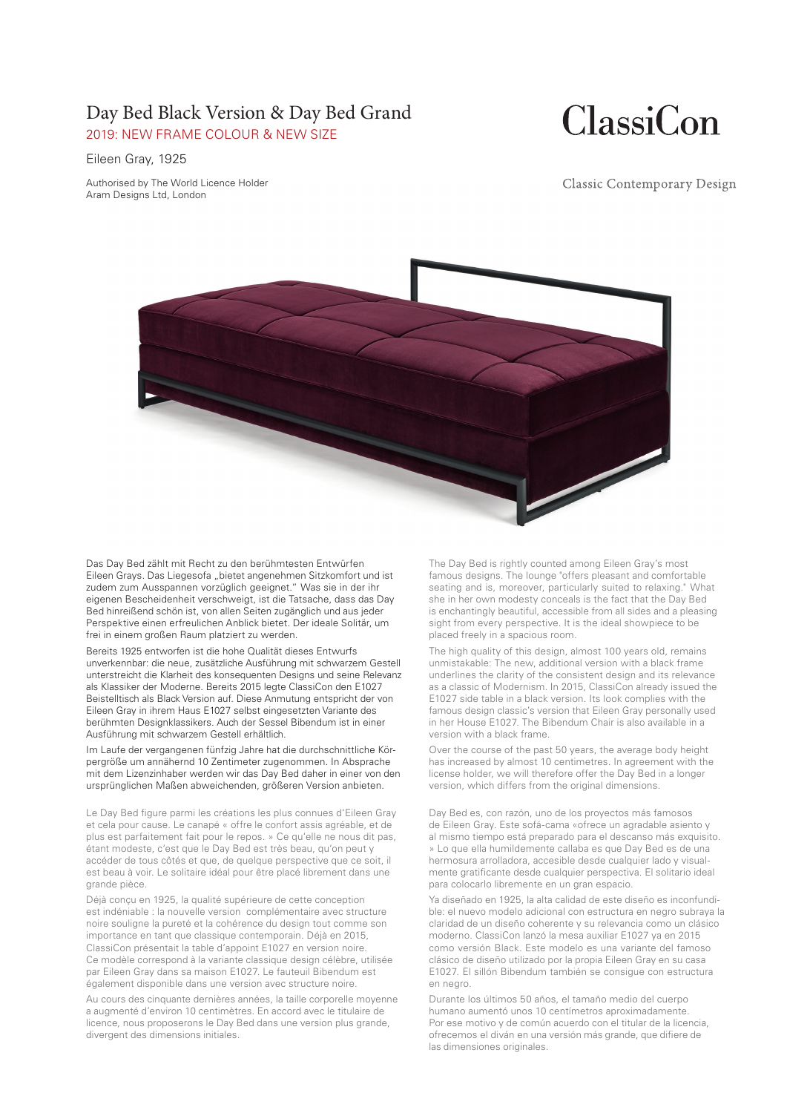### Day Bed Black Version & Day Bed Grand 2019: NEW FRAME COLOUR & NEW SIZE

# **ClassiCon**

#### Eileen Gray, 1925

Authorised by The World Licence Holder Aram Designs Ltd, London

**Classic Contemporary Design** 



Das Day Bed zählt mit Recht zu den berühmtesten Entwürfen Eileen Grays. Das Liegesofa "bietet angenehmen Sitzkomfort und ist zudem zum Ausspannen vorzüglich geeignet." Was sie in der ihr eigenen Bescheidenheit verschweigt, ist die Tatsache, dass das Day Bed hinreißend schön ist, von allen Seiten zugänglich und aus jeder Perspektive einen erfreulichen Anblick bietet. Der ideale Solitär, um frei in einem großen Raum platziert zu werden.

Bereits 1925 entworfen ist die hohe Qualität dieses Entwurfs unverkennbar: die neue, zusätzliche Ausführung mit schwarzem Gestell unterstreicht die Klarheit des konsequenten Designs und seine Relevanz als Klassiker der Moderne. Bereits 2015 legte ClassiCon den E1027 Beistelltisch als Black Version auf. Diese Anmutung entspricht der von Eileen Gray in ihrem Haus E1027 selbst eingesetzten Variante des berühmten Designklassikers. Auch der Sessel Bibendum ist in einer Ausführung mit schwarzem Gestell erhältlich.

Im Laufe der vergangenen fünfzig Jahre hat die durchschnittliche Körpergröße um annähernd 10 Zentimeter zugenommen. In Absprache mit dem Lizenzinhaber werden wir das Day Bed daher in einer von den ursprünglichen Maßen abweichenden, größeren Version anbieten.

Le Day Bed figure parmi les créations les plus connues d'Eileen Gray et cela pour cause. Le canapé « offre le confort assis agréable, et de plus est parfaitement fait pour le repos. » Ce qu'elle ne nous dit pas, étant modeste, c'est que le Day Bed est très beau, qu'on peut y accéder de tous côtés et que, de quelque perspective que ce soit, il est beau à voir. Le solitaire idéal pour être placé librement dans une grande pièce.

Déjà conçu en 1925, la qualité supérieure de cette conception est indéniable : la nouvelle version complémentaire avec structure noire souligne la pureté et la cohérence du design tout comme son importance en tant que classique contemporain. Déjà en 2015, ClassiCon présentait la table d'appoint E1027 en version noire. Ce modèle correspond à la variante classique design célèbre, utilisée par Eileen Gray dans sa maison E1027. Le fauteuil Bibendum est également disponible dans une version avec structure noire.

Au cours des cinquante dernières années, la taille corporelle moyenne a augmenté d'environ 10 centimètres. En accord avec le titulaire de licence, nous proposerons le Day Bed dans une version plus grande, divergent des dimensions initiales.

The Day Bed is rightly counted among Eileen Gray's most famous designs. The lounge "offers pleasant and comfortable seating and is, moreover, particularly suited to relaxing." What she in her own modesty conceals is the fact that the Day Bed is enchantingly beautiful, accessible from all sides and a pleasing sight from every perspective. It is the ideal showpiece to be placed freely in a spacious room.

The high quality of this design, almost 100 years old, remains unmistakable: The new, additional version with a black frame underlines the clarity of the consistent design and its relevance as a classic of Modernism. In 2015, ClassiCon already issued the E1027 side table in a black version. Its look complies with the famous design classic's version that Eileen Gray personally used in her House E1027. The Bibendum Chair is also available in a version with a black frame.

Over the course of the past 50 years, the average body height has increased by almost 10 centimetres. In agreement with the license holder, we will therefore offer the Day Bed in a longer version, which differs from the original dimensions.

Day Bed es, con razón, uno de los proyectos más famosos de Eileen Gray. Este sofá-cama «ofrece un agradable asiento y al mismo tiempo está preparado para el descanso más exquisito. » Lo que ella humildemente callaba es que Day Bed es de una hermosura arrolladora, accesible desde cualquier lado y visualmente gratificante desde cualquier perspectiva. El solitario ideal para colocarlo libremente en un gran espacio.

Ya diseñado en 1925, la alta calidad de este diseño es inconfundible: el nuevo modelo adicional con estructura en negro subraya la claridad de un diseño coherente y su relevancia como un clásico moderno. ClassiCon lanzó la mesa auxiliar E1027 ya en 2015 como versión Black. Este modelo es una variante del famoso clásico de diseño utilizado por la propia Eileen Gray en su casa E1027. El sillón Bibendum también se consigue con estructura en negro.

Durante los últimos 50 años, el tamaño medio del cuerpo humano aumentó unos 10 centímetros aproximadamente. Por ese motivo y de común acuerdo con el titular de la licencia, ofrecemos el diván en una versión más grande, que difiere de las dimensiones originales.